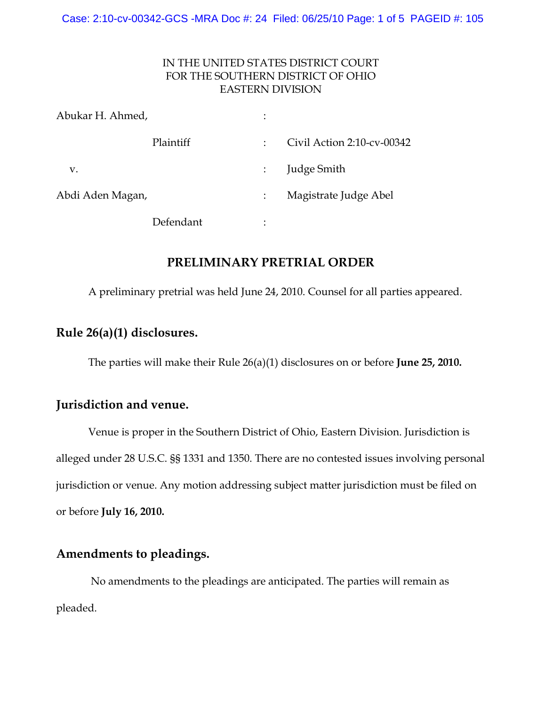#### IN THE UNITED STATES DISTRICT COURT FOR THE SOUTHERN DISTRICT OF OHIO EASTERN DIVISION

| Abukar H. Ahmed, |           |   |                            |
|------------------|-----------|---|----------------------------|
|                  | Plaintiff | ÷ | Civil Action 2:10-cv-00342 |
| v.               |           |   | <b>Judge Smith</b>         |
| Abdi Aden Magan, |           |   | Magistrate Judge Abel      |
|                  | Defendant | ٠ |                            |

### **PRELIMINARY PRETRIAL ORDER**

A preliminary pretrial was held June 24, 2010. Counsel for all parties appeared.

## **Rule 26(a)(1) disclosures.**

The parties will make their Rule 26(a)(1) disclosures on or before **June 25, 2010.**

## **Jurisdiction and venue.**

Venue is proper in the Southern District of Ohio, Eastern Division. Jurisdiction is alleged under 28 U.S.C. §§ 1331 and 1350. There are no contested issues involving personal jurisdiction or venue. Any motion addressing subject matter jurisdiction must be filed on or before **July 16, 2010.**

## **Amendments to pleadings.**

 No amendments to the pleadings are anticipated. The parties will remain as pleaded.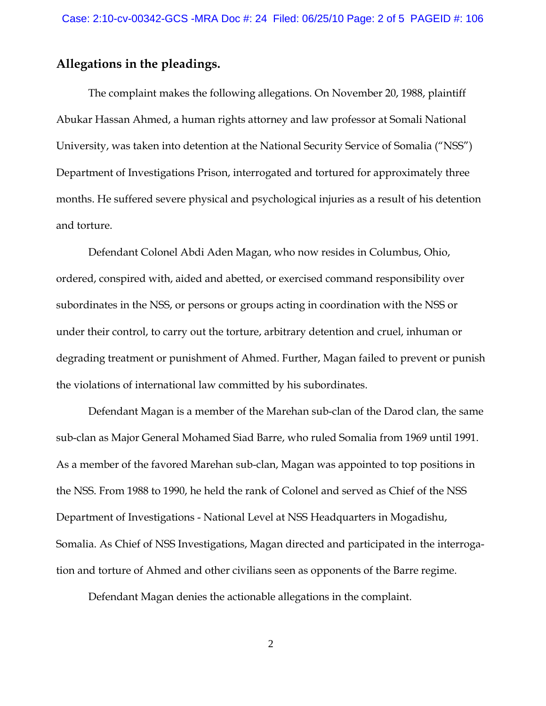#### **Allegations in the pleadings.**

The complaint makes the following allegations. On November 20, 1988, plaintiff Abukar Hassan Ahmed, a human rights attorney and law professor at Somali National University, was taken into detention at the National Security Service of Somalia ("NSS") Department of Investigations Prison, interrogated and tortured for approximately three months. He suffered severe physical and psychological injuries as a result of his detention and torture.

Defendant Colonel Abdi Aden Magan, who now resides in Columbus, Ohio, ordered, conspired with, aided and abetted, or exercised command responsibility over subordinates in the NSS, or persons or groups acting in coordination with the NSS or under their control, to carry out the torture, arbitrary detention and cruel, inhuman or degrading treatment or punishment of Ahmed. Further, Magan failed to prevent or punish the violations of international law committed by his subordinates.

Defendant Magan is a member of the Marehan sub-clan of the Darod clan, the same sub-clan as Major General Mohamed Siad Barre, who ruled Somalia from 1969 until 1991. As a member of the favored Marehan sub-clan, Magan was appointed to top positions in the NSS. From 1988 to 1990, he held the rank of Colonel and served as Chief of the NSS Department of Investigations - National Level at NSS Headquarters in Mogadishu, Somalia. As Chief of NSS Investigations, Magan directed and participated in the interrogation and torture of Ahmed and other civilians seen as opponents of the Barre regime.

Defendant Magan denies the actionable allegations in the complaint.

2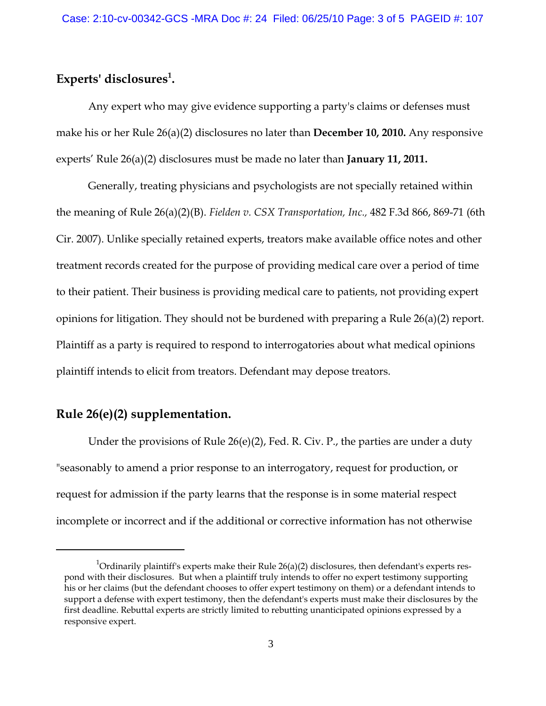## **Experts' disclosures1 .**

Any expert who may give evidence supporting a party's claims or defenses must make his or her Rule 26(a)(2) disclosures no later than **December 10, 2010.** Any responsive experts' Rule 26(a)(2) disclosures must be made no later than **January 11, 2011.**

Generally, treating physicians and psychologists are not specially retained within the meaning of Rule 26(a)(2)(B). *Fielden v. CSX Transportation, Inc.,* 482 F.3d 866, 869-71 (6th Cir. 2007). Unlike specially retained experts, treators make available office notes and other treatment records created for the purpose of providing medical care over a period of time to their patient. Their business is providing medical care to patients, not providing expert opinions for litigation. They should not be burdened with preparing a Rule 26(a)(2) report. Plaintiff as a party is required to respond to interrogatories about what medical opinions plaintiff intends to elicit from treators. Defendant may depose treators.

## **Rule 26(e)(2) supplementation.**

Under the provisions of Rule 26(e)(2), Fed. R. Civ. P., the parties are under a duty "seasonably to amend a prior response to an interrogatory, request for production, or request for admission if the party learns that the response is in some material respect incomplete or incorrect and if the additional or corrective information has not otherwise

 $^{\rm 1}$ Ordinarily plaintiff's experts make their Rule 26(a)(2) disclosures, then defendant's experts respond with their disclosures. But when a plaintiff truly intends to offer no expert testimony supporting his or her claims (but the defendant chooses to offer expert testimony on them) or a defendant intends to support a defense with expert testimony, then the defendant's experts must make their disclosures by the first deadline. Rebuttal experts are strictly limited to rebutting unanticipated opinions expressed by a responsive expert.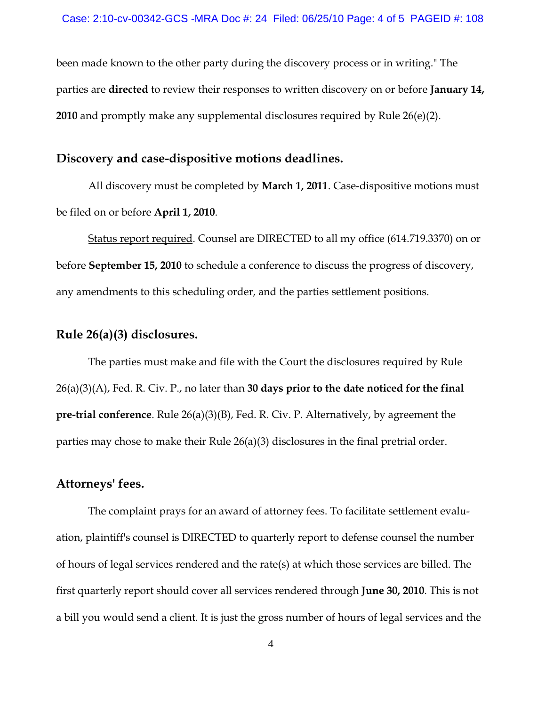been made known to the other party during the discovery process or in writing." The parties are **directed** to review their responses to written discovery on or before **January 14, 2010** and promptly make any supplemental disclosures required by Rule 26(e)(2).

#### **Discovery and case-dispositive motions deadlines.**

All discovery must be completed by **March 1, 2011**. Case-dispositive motions must be filed on or before **April 1, 2010**.

Status report required. Counsel are DIRECTED to all my office (614.719.3370) on or before **September 15, 2010** to schedule a conference to discuss the progress of discovery, any amendments to this scheduling order, and the parties settlement positions.

#### **Rule 26(a)(3) disclosures.**

The parties must make and file with the Court the disclosures required by Rule 26(a)(3)(A), Fed. R. Civ. P., no later than **30 days prior to the date noticed for the final pre-trial conference**. Rule 26(a)(3)(B), Fed. R. Civ. P. Alternatively, by agreement the parties may chose to make their Rule 26(a)(3) disclosures in the final pretrial order.

# **Attorneys' fees.**

The complaint prays for an award of attorney fees. To facilitate settlement evaluation, plaintiff's counsel is DIRECTED to quarterly report to defense counsel the number of hours of legal services rendered and the rate(s) at which those services are billed. The first quarterly report should cover all services rendered through **June 30, 2010**. This is not a bill you would send a client. It is just the gross number of hours of legal services and the